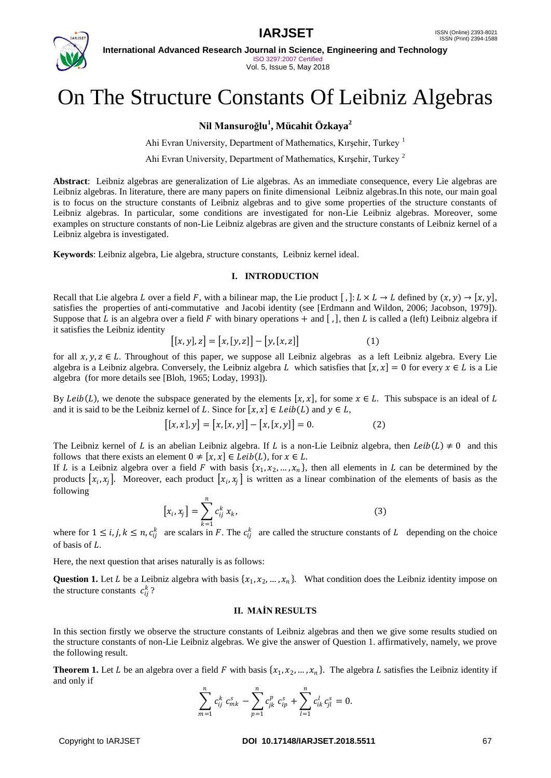

**International Advanced Research Journal in Science, Engineering and Technology** ISO 3297:2007 Certified

Vol. 5, Issue 5, May 2018

# On The Structure Constants Of Leibniz Algebras

## **Nil Mansuroğlu<sup>1</sup> , Mücahit Özkaya<sup>2</sup>**

Ahi Evran University, Department of Mathematics, Kırşehir, Turkey<sup>1</sup>

Ahi Evran University, Department of Mathematics, Kırşehir, Turkey <sup>2</sup>

**Abstract**: Leibniz algebras are generalization of Lie algebras. As an immediate consequence, every Lie algebras are Leibniz algebras. In literature, there are many papers on finite dimensional Leibniz algebras.In this note, our main goal is to focus on the structure constants of Leibniz algebras and to give some properties of the structure constants of Leibniz algebras. In particular, some conditions are investigated for non-Lie Leibniz algebras. Moreover, some examples on structure constants of non-Lie Leibniz algebras are given and the structure constants of Leibniz kernel of a Leibniz algebra is investigated.

**Keywords**: Leibniz algebra, Lie algebra, structure constants, Leibniz kernel ideal.

#### **I. INTRODUCTION**

Recall that Lie algebra L over a field F, with a bilinear map, the Lie product  $[, \exists : L \times L \rightarrow L$  defined by  $(x, y) \rightarrow [x, y]$ , satisfies the properties of anti-commutative and Jacobi identity (see [Erdmann and Wildon, 2006; Jacobson, 1979]). Suppose that L is an algebra over a field F with binary operations  $+$  and  $[$ ,  $]$ , then L is called a (left) Leibniz algebra if it satisfies the Leibniz identity

$$
[[x, y], z] = [x, [y, z]] - [y, [x, z]] \tag{1}
$$

for all  $x, y, z \in L$ . Throughout of this paper, we suppose all Leibniz algebras as a left Leibniz algebra. Every Lie algebra is a Leibniz algebra. Conversely, the Leibniz algebra L which satisfies that  $[x, x] = 0$  for every  $x \in L$  is a Lie algebra (for more details see [Bloh, 1965; Loday, 1993]).

By Leib(L), we denote the subspace generated by the elements  $[x, x]$ , for some  $x \in L$ . This subspace is an ideal of L and it is said to be the Leibniz kernel of L. Since for  $[x, x] \in Leib(L)$  and  $y \in L$ ,

$$
[[x, x], y] = [x, [x, y]] - [x, [x, y]] = 0.
$$
 (2)

The Leibniz kernel of L is an abelian Leibniz algebra. If L is a non-Lie Leibniz algebra, then  $Leib(L) \neq 0$  and this follows that there exists an element  $0 \neq [x, x] \in Leib(L)$ , for  $x \in L$ .

If L is a Leibniz algebra over a field F with basis  $\{x_1, x_2, ..., x_n\}$ , then all elements in L can be determined by the products  $[x_i, x_j]$ . Moreover, each product  $[x_i, x_j]$  is written as a linear combination of the elements of basis as the following

$$
[x_i, x_j] = \sum_{k=1}^n c_{ij}^k x_k,
$$
 (3)

where for  $1 \le i, j, k \le n, c_{ij}^k$  are scalars in F. The  $c_{ij}^k$  are called the structure constants of L depending on the choice of basis of  $L$ .

Here, the next question that arises naturally is as follows:

**Question 1.** Let *L* be a Leibniz algebra with basis  $\{x_1, x_2, ..., x_n\}$ . What condition does the Leibniz identity impose on the structure constants  $c_{ij}^k$ ?

#### **II. MAİN RESULTS**

In this section firstly we observe the structure constants of Leibniz algebras and then we give some results studied on the structure constants of non-Lie Leibniz algebras. We give the answer of Question 1. affirmatively, namely, we prove the following result.

**Theorem 1.** Let L be an algebra over a field F with basis  $\{x_1, x_2, ..., x_n\}$ . The algebra L satisfies the Leibniz identity if and only if

$$
\sum_{m=1}^n c_{ij}^k c_{mk}^s - \sum_{p=1}^n c_{jk}^p c_{ip}^s + \sum_{l=1}^n c_{ik}^l c_{jl}^s = 0.
$$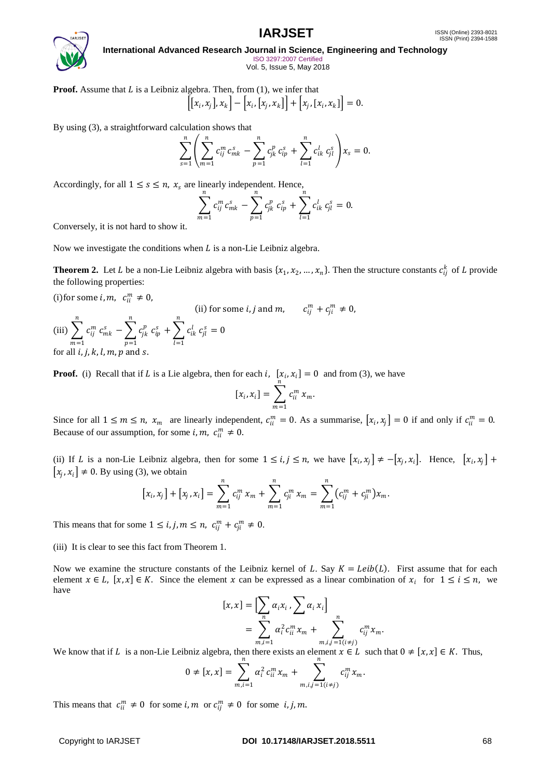

**International Advanced Research Journal in Science, Engineering and Technology** ISO 3297:2007 Certified

Vol. 5, Issue 5, May 2018

**Proof.** Assume that *L* is a Leibniz algebra. Then, from (1), we infer that\n
$$
\left[ \left[ x_i, x_j \right], x_k \right] - \left[ x_i, \left[ x_j, x_k \right] \right] + \left[ x_j, \left[ x_i, x_k \right] \right] = 0.
$$

By using (3), a straightforward calculation shows that

$$
\sum_{s=1}^n \left( \sum_{m=1}^n c_{ij}^m c_{mk}^s - \sum_{p=1}^n c_{jk}^p c_{ip}^s + \sum_{l=1}^n c_{ik}^l c_{jl}^s \right) x_s = 0.
$$

Accordingly, for all  $1 \leq s \leq n$ ,  $x_s$  are linearly independent. Hence,

$$
\sum_{m=1}^n c_{ij}^m c_{mk}^s - \sum_{p=1}^n c_{jk}^p c_{ip}^s + \sum_{l=1}^n c_{ik}^l c_{jl}^s = 0.
$$

Conversely, it is not hard to show it.

Now we investigate the conditions when  $L$  is a non-Lie Leibniz algebra.

**Theorem 2.** Let L be a non-Lie Leibniz algebra with basis  $\{x_1, x_2, ..., x_n\}$ . Then the structure constants  $c_{ij}^k$  of L provide the following properties:

(i) for some  $i, m, c_{ii}^m \neq 0$ ,

(iii) 
$$
\sum_{m=1}^{n} c_{ij}^{m} c_{mk}^{s} - \sum_{p=1}^{n} c_{jk}^{p} c_{ip}^{s} + \sum_{l=1}^{n} c_{ik}^{l} c_{jl}^{s} = 0
$$
  
for all *i*, *j*, *k*, *l*, *m*, *p* and *s*.

**Proof.** (i) Recall that if L is a Lie algebra, then for each i,  $\left[x_i, x_i\right] = 0$  and from (3), we have

$$
[x_i, x_i] = \sum_{m=1}^n c_{ii}^m x_m.
$$

Since for all  $1 \le m \le n$ ,  $x_m$  are linearly independent,  $c_{ii}^m = 0$ . As a summarise,  $[x_i, x_j] = 0$  if and only if  $c_{ii}^m = 0$ . Because of our assumption, for some *i*,  $m$ ,  $c_{ii}^{m} \neq 0$ .

(ii) If *L* is a non-Lie Leibniz algebra, then for some  $1 \le i, j \le n$ , we have  $[x_i, x_j] \ne -[x_j, x_i]$ . Hence,  $[x_i, x_j] +$  $[x_j, x_i] \neq 0$ . By using (3), we obtain

$$
[x_i,x_j]+[x_j,x_i]=\sum_{m=1}^n c_{ij}^m x_m+\sum_{m=1}^n c_{ji}^m x_m=\sum_{m=1}^n (c_{ij}^m+c_{ji}^m)x_m.
$$

This means that for some  $1 \le i, j, m \le n$ ,  $c_{ij}^m + c_{ji}^m \ne 0$ .

(iii) It is clear to see this fact from Theorem 1.

Now we examine the structure constants of the Leibniz kernel of L. Say  $K = Leib(L)$ . First assume that for each element  $x \in L$ ,  $[x, x] \in K$ . Since the element x can be expressed as a linear combination of  $x_i$  for  $1 \le i \le n$ , we have

$$
[x, x] = \left[\sum_{n} \alpha_i x_i, \sum_{i} \alpha_i x_i\right]
$$
  
= 
$$
\sum_{m,i=1}^{n} \alpha_i^2 c_{ii}^m x_m + \sum_{m,i,j=1(i\neq j)}^{n} c_{ij}^m x_m.
$$

We know that if *L* is a non-Lie Leibniz algebra, then there exists an element  $x \in L$  such that  $0 \neq [x, x] \in K$ . Thus,

$$
0 \neq [x, x] = \sum_{m,i=1}^{n} \alpha_i^2 c_{ii}^m x_m + \sum_{m,i,j=1 (i \neq j)}^{n} c_{ij}^m x_m.
$$

This means that  $c_{ii}^m \neq 0$  for some  $i, m$  or  $c_{ij}^m \neq 0$  for some  $i, j, m$ .

#### Copyright to IARJSET **DOI 10.17148/IARJSET.2018.5511** 68